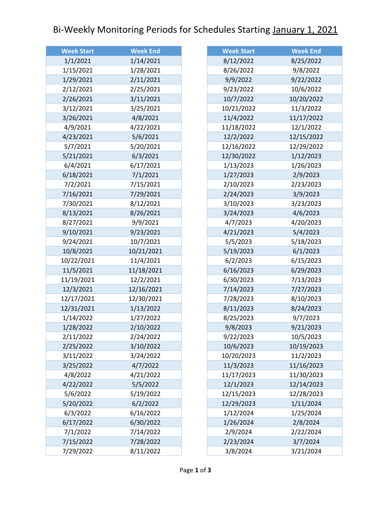## Bi-Weekly Monitoring Periods for Schedules Starting January 1, 2021

| <b>Week Start</b> | <b>Week End</b> |
|-------------------|-----------------|
| 1/1/2021          | 1/14/2021       |
| 1/15/2021         | 1/28/2021       |
| 1/29/2021         | 2/11/2021       |
| 2/12/2021         | 2/25/2021       |
| 2/26/2021         | 3/11/2021       |
| 3/12/2021         | 3/25/2021       |
| 3/26/2021         | 4/8/2021        |
| 4/9/2021          | 4/22/2021       |
| 4/23/2021         | 5/6/2021        |
| 5/7/2021          | 5/20/2021       |
| 5/21/2021         | 6/3/2021        |
| 6/4/2021          | 6/17/2021       |
| 6/18/2021         | 7/1/2021        |
| 7/2/2021          | 7/15/2021       |
| 7/16/2021         | 7/29/2021       |
| 7/30/2021         | 8/12/2021       |
| 8/13/2021         | 8/26/2021       |
| 8/27/2021         | 9/9/2021        |
| 9/10/2021         | 9/23/2021       |
| 9/24/2021         | 10/7/2021       |
| 10/8/2021         | 10/21/2021      |
| 10/22/2021        | 11/4/2021       |
| 11/5/2021         | 11/18/2021      |
| 11/19/2021        | 12/2/2021       |
| 12/3/2021         | 12/16/2021      |
| 12/17/2021        | 12/30/2021      |
| 12/31/2021        | 1/13/2022       |
| 1/14/2022         | 1/27/2022       |
| 1/28/2022         | 2/10/2022       |
| 2/11/2022         | 2/24/2022       |
| 2/25/2022         | 3/10/2022       |
| 3/11/2022         | 3/24/2022       |
| 3/25/2022         | 4/7/2022        |
| 4/8/2022          | 4/21/2022       |
| 4/22/2022         | 5/5/2022        |
| 5/6/2022          | 5/19/2022       |
| 5/20/2022         | 6/2/2022        |
| 6/3/2022          | 6/16/2022       |
| 6/17/2022         | 6/30/2022       |
| 7/1/2022          | 7/14/2022       |
| 7/15/2022         | 7/28/2022       |
| 7/29/2022         | 8/11/2022       |

| <b>Week Start</b> | <b>Week End</b> |
|-------------------|-----------------|
| 8/12/2022         | 8/25/2022       |
| 8/26/2022         | 9/8/2022        |
| 9/9/2022          | 9/22/2022       |
| 9/23/2022         | 10/6/2022       |
| 10/7/2022         | 10/20/2022      |
| 10/21/2022        | 11/3/2022       |
| 11/4/2022         | 11/17/2022      |
| 11/18/2022        | 12/1/2022       |
| 12/2/2022         | 12/15/2022      |
| 12/16/2022        | 12/29/2022      |
| 12/30/2022        | 1/12/2023       |
| 1/13/2023         | 1/26/2023       |
| 1/27/2023         | 2/9/2023        |
| 2/10/2023         | 2/23/2023       |
| 2/24/2023         | 3/9/2023        |
| 3/10/2023         | 3/23/2023       |
| 3/24/2023         | 4/6/2023        |
| 4/7/2023          | 4/20/2023       |
| 4/21/2023         | 5/4/2023        |
| 5/5/2023          | 5/18/2023       |
| 5/19/2023         | 6/1/2023        |
| 6/2/2023          | 6/15/2023       |
| 6/16/2023         | 6/29/2023       |
| 6/30/2023         | 7/13/2023       |
| 7/14/2023         | 7/27/2023       |
| 7/28/2023         | 8/10/2023       |
| 8/11/2023         | 8/24/2023       |
| 8/25/2023         | 9/7/2023        |
| 9/8/2023          | 9/21/2023       |
| 9/22/2023         | 10/5/2023       |
| 10/6/2023         | 10/19/2023      |
| 10/20/2023        | 11/2/2023       |
| 11/3/2023         | 11/16/2023      |
| 11/17/2023        | 11/30/2023      |
| 12/1/2023         | 12/14/2023      |
| 12/15/2023        | 12/28/2023      |
| 12/29/2023        | 1/11/2024       |
| 1/12/2024         | 1/25/2024       |
| 1/26/2024         | 2/8/2024        |
| 2/9/2024          | 2/22/2024       |
| 2/23/2024         | 3/7/2024        |
| 3/8/2024          | 3/21/2024       |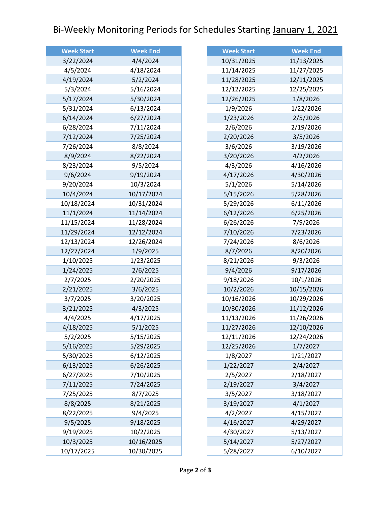## Bi-Weekly Monitoring Periods for Schedules Starting January 1, 2021

| <b>Week Start</b> | <b>Week End</b> |
|-------------------|-----------------|
| 3/22/2024         | 4/4/2024        |
| 4/5/2024          | 4/18/2024       |
| 4/19/2024         | 5/2/2024        |
| 5/3/2024          | 5/16/2024       |
| 5/17/2024         | 5/30/2024       |
| 5/31/2024         | 6/13/2024       |
| 6/14/2024         | 6/27/2024       |
| 6/28/2024         | 7/11/2024       |
| 7/12/2024         | 7/25/2024       |
| 7/26/2024         | 8/8/2024        |
| 8/9/2024          | 8/22/2024       |
| 8/23/2024         | 9/5/2024        |
| 9/6/2024          | 9/19/2024       |
| 9/20/2024         | 10/3/2024       |
| 10/4/2024         | 10/17/2024      |
| 10/18/2024        | 10/31/2024      |
| 11/1/2024         | 11/14/2024      |
| 11/15/2024        | 11/28/2024      |
| 11/29/2024        | 12/12/2024      |
| 12/13/2024        | 12/26/2024      |
| 12/27/2024        | 1/9/2025        |
| 1/10/2025         | 1/23/2025       |
| 1/24/2025         | 2/6/2025        |
| 2/7/2025          | 2/20/2025       |
| 2/21/2025         | 3/6/2025        |
| 3/7/2025          | 3/20/2025       |
| 3/21/2025         | 4/3/2025        |
| 4/4/2025          | 4/17/2025       |
| 4/18/2025         | 5/1/2025        |
| 5/2/2025          | 5/15/2025       |
| 5/16/2025         | 5/29/2025       |
| 5/30/2025         | 6/12/2025       |
| 6/13/2025         | 6/26/2025       |
| 6/27/2025         | 7/10/2025       |
| 7/11/2025         | 7/24/2025       |
| 7/25/2025         | 8/7/2025        |
| 8/8/2025          | 8/21/2025       |
| 8/22/2025         | 9/4/2025        |
| 9/5/2025          | 9/18/2025       |
| 9/19/2025         | 10/2/2025       |
| 10/3/2025         | 10/16/2025      |
| 10/17/2025        | 10/30/2025      |

| <b>Week Start</b> | <b>Week End</b> |
|-------------------|-----------------|
| 10/31/2025        | 11/13/2025      |
| 11/14/2025        | 11/27/2025      |
| 11/28/2025        | 12/11/2025      |
| 12/12/2025        | 12/25/2025      |
| 12/26/2025        | 1/8/2026        |
| 1/9/2026          | 1/22/2026       |
| 1/23/2026         | 2/5/2026        |
| 2/6/2026          | 2/19/2026       |
| 2/20/2026         | 3/5/2026        |
| 3/6/2026          | 3/19/2026       |
| 3/20/2026         | 4/2/2026        |
| 4/3/2026          | 4/16/2026       |
| 4/17/2026         | 4/30/2026       |
| 5/1/2026          | 5/14/2026       |
| 5/15/2026         | 5/28/2026       |
| 5/29/2026         | 6/11/2026       |
| 6/12/2026         | 6/25/2026       |
| 6/26/2026         | 7/9/2026        |
| 7/10/2026         | 7/23/2026       |
| 7/24/2026         | 8/6/2026        |
| 8/7/2026          | 8/20/2026       |
| 8/21/2026         | 9/3/2026        |
| 9/4/2026          | 9/17/2026       |
| 9/18/2026         | 10/1/2026       |
| 10/2/2026         | 10/15/2026      |
| 10/16/2026        | 10/29/2026      |
| 10/30/2026        | 11/12/2026      |
| 11/13/2026        | 11/26/2026      |
| 11/27/2026        | 12/10/2026      |
| 12/11/2026        | 12/24/2026      |
| 12/25/2026        | 1/7/2027        |
| 1/8/2027          | 1/21/2027       |
| 1/22/2027         | 2/4/2027        |
| 2/5/2027          | 2/18/2027       |
| 2/19/2027         | 3/4/2027        |
| 3/5/2027          | 3/18/2027       |
| 3/19/2027         | 4/1/2027        |
| 4/2/2027          | 4/15/2027       |
| 4/16/2027         | 4/29/2027       |
| 4/30/2027         | 5/13/2027       |
| 5/14/2027         | 5/27/2027       |
| 5/28/2027         | 6/10/2027       |
|                   |                 |